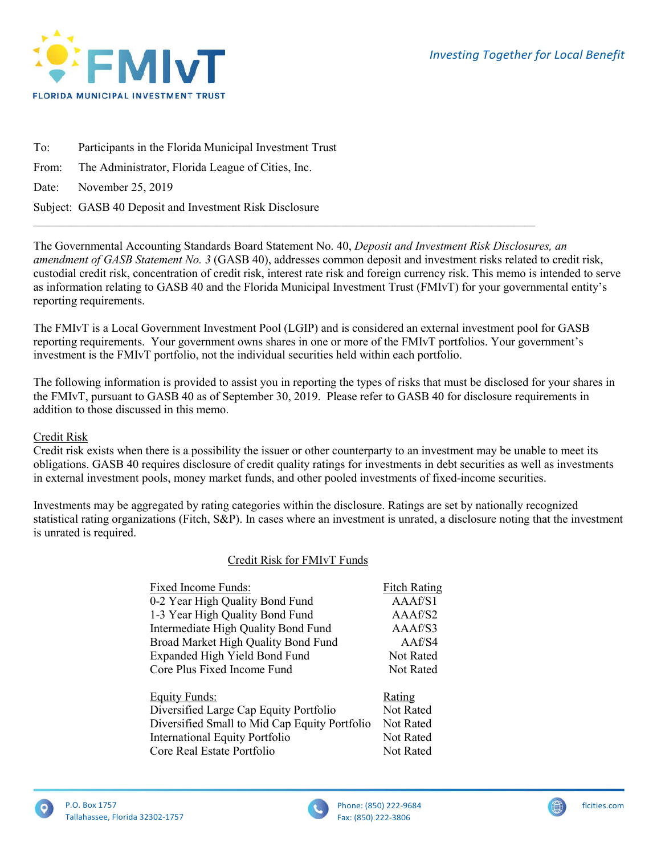

To: Participants in the Florida Municipal Investment Trust From: The Administrator, Florida League of Cities, Inc. Date: November 25, 2019 Subject: GASB 40 Deposit and Investment Risk Disclosure

The Governmental Accounting Standards Board Statement No. 40, *Deposit and Investment Risk Disclosures, an amendment of GASB Statement No. 3* (GASB 40), addresses common deposit and investment risks related to credit risk, custodial credit risk, concentration of credit risk, interest rate risk and foreign currency risk. This memo is intended to serve as information relating to GASB 40 and the Florida Municipal Investment Trust (FMIvT) for your governmental entity's reporting requirements.

The FMIvT is a Local Government Investment Pool (LGIP) and is considered an external investment pool for GASB reporting requirements. Your government owns shares in one or more of the FMIvT portfolios. Your government's investment is the FMIvT portfolio, not the individual securities held within each portfolio.

 $\mathcal{L}_\mathcal{L} = \{ \mathcal{L}_\mathcal{L} = \{ \mathcal{L}_\mathcal{L} = \{ \mathcal{L}_\mathcal{L} = \{ \mathcal{L}_\mathcal{L} = \{ \mathcal{L}_\mathcal{L} = \{ \mathcal{L}_\mathcal{L} = \{ \mathcal{L}_\mathcal{L} = \{ \mathcal{L}_\mathcal{L} = \{ \mathcal{L}_\mathcal{L} = \{ \mathcal{L}_\mathcal{L} = \{ \mathcal{L}_\mathcal{L} = \{ \mathcal{L}_\mathcal{L} = \{ \mathcal{L}_\mathcal{L} = \{ \mathcal{L}_\mathcal{$ 

The following information is provided to assist you in reporting the types of risks that must be disclosed for your shares in the FMIvT, pursuant to GASB 40 as of September 30, 2019. Please refer to GASB 40 for disclosure requirements in addition to those discussed in this memo.

# Credit Risk

Credit risk exists when there is a possibility the issuer or other counterparty to an investment may be unable to meet its obligations. GASB 40 requires disclosure of credit quality ratings for investments in debt securities as well as investments in external investment pools, money market funds, and other pooled investments of fixed-income securities.

Investments may be aggregated by rating categories within the disclosure. Ratings are set by nationally recognized statistical rating organizations (Fitch, S&P). In cases where an investment is unrated, a disclosure noting that the investment is unrated is required.

# Credit Risk for FMIvT Funds

| Fixed Income Funds:                           | <b>Fitch Rating</b> |
|-----------------------------------------------|---------------------|
| 0-2 Year High Quality Bond Fund               | A A A f/S1          |
| 1-3 Year High Quality Bond Fund               | AAAf/S2             |
| Intermediate High Quality Bond Fund           | AAAf/S3             |
| Broad Market High Quality Bond Fund           | AAf/S4              |
| Expanded High Yield Bond Fund                 | <b>Not Rated</b>    |
| Core Plus Fixed Income Fund                   | <b>Not Rated</b>    |
| <b>Equity Funds:</b>                          | Rating              |
| Diversified Large Cap Equity Portfolio        | Not Rated           |
| Diversified Small to Mid Cap Equity Portfolio | <b>Not Rated</b>    |
| <b>International Equity Portfolio</b>         | <b>Not Rated</b>    |
| Core Real Estate Portfolio                    | <b>Not Rated</b>    |